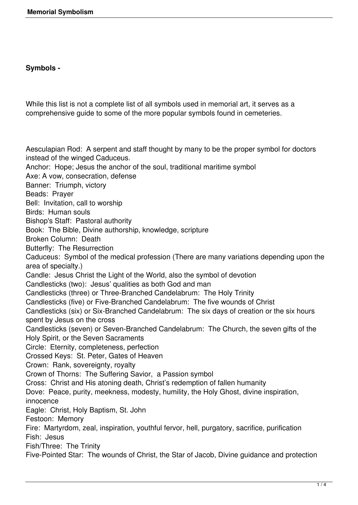## **Symbols -**

While this list is not a complete list of all symbols used in memorial art, it serves as a comprehensive guide to some of the more popular symbols found in cemeteries.

Aesculapian Rod: A serpent and staff thought by many to be the proper symbol for doctors instead of the winged Caduceus. Anchor: Hope; Jesus the anchor of the soul, traditional maritime symbol Axe: A vow, consecration, defense Banner: Triumph, victory Beads: Prayer Bell: Invitation, call to worship Birds: Human souls Bishop's Staff: Pastoral authority Book: The Bible, Divine authorship, knowledge, scripture Broken Column: Death Butterfly: The Resurrection Caduceus: Symbol of the medical profession (There are many variations depending upon the area of specialty.) Candle: Jesus Christ the Light of the World, also the symbol of devotion Candlesticks (two): Jesus' qualities as both God and man Candlesticks (three) or Three-Branched Candelabrum: The Holy Trinity Candlesticks (five) or Five-Branched Candelabrum: The five wounds of Christ Candlesticks (six) or Six-Branched Candelabrum: The six days of creation or the six hours spent by Jesus on the cross Candlesticks (seven) or Seven-Branched Candelabrum: The Church, the seven gifts of the Holy Spirit, or the Seven Sacraments Circle: Eternity, completeness, perfection Crossed Keys: St. Peter, Gates of Heaven Crown: Rank, sovereignty, royalty Crown of Thorns: The Suffering Savior, a Passion symbol Cross: Christ and His atoning death, Christ's redemption of fallen humanity Dove: Peace, purity, meekness, modesty, humility, the Holy Ghost, divine inspiration, innocence Eagle: Christ, Holy Baptism, St. John Festoon: Memory Fire: Martyrdom, zeal, inspiration, youthful fervor, hell, purgatory, sacrifice, purification Fish: Jesus Fish/Three: The Trinity Five-Pointed Star: The wounds of Christ, the Star of Jacob, Divine guidance and protection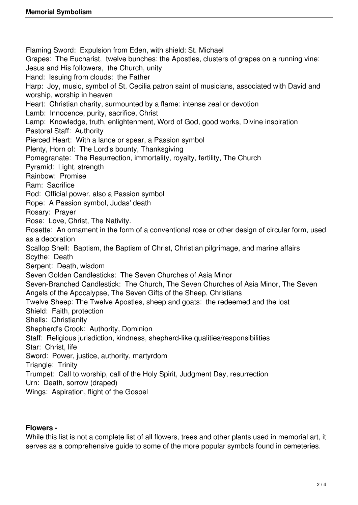Flaming Sword: Expulsion from Eden, with shield: St. Michael Grapes: The Eucharist, twelve bunches: the Apostles, clusters of grapes on a running vine: Jesus and His followers, the Church, unity Hand: Issuing from clouds: the Father Harp: Joy, music, symbol of St. Cecilia patron saint of musicians, associated with David and worship, worship in heaven Heart: Christian charity, surmounted by a flame: intense zeal or devotion Lamb: Innocence, purity, sacrifice, Christ Lamp: Knowledge, truth, enlightenment, Word of God, good works, Divine inspiration Pastoral Staff: Authority Pierced Heart: With a lance or spear, a Passion symbol Plenty, Horn of: The Lord's bounty, Thanksgiving Pomegranate: The Resurrection, immortality, royalty, fertility, The Church Pyramid: Light, strength Rainbow: Promise Ram: Sacrifice Rod: Official power, also a Passion symbol Rope: A Passion symbol, Judas' death Rosary: Prayer Rose: Love, Christ, The Nativity. Rosette: An ornament in the form of a conventional rose or other design of circular form, used as a decoration Scallop Shell: Baptism, the Baptism of Christ, Christian pilgrimage, and marine affairs Scythe: Death Serpent: Death, wisdom Seven Golden Candlesticks: The Seven Churches of Asia Minor Seven-Branched Candlestick: The Church, The Seven Churches of Asia Minor, The Seven Angels of the Apocalypse, The Seven Gifts of the Sheep, Christians Twelve Sheep: The Twelve Apostles, sheep and goats: the redeemed and the lost Shield: Faith, protection Shells: Christianity Shepherd's Crook: Authority, Dominion Staff: Religious jurisdiction, kindness, shepherd-like qualities/responsibilities Star: Christ, life Sword: Power, justice, authority, martyrdom Triangle: Trinity Trumpet: Call to worship, call of the Holy Spirit, Judgment Day, resurrection Urn: Death, sorrow (draped) Wings: Aspiration, flight of the Gospel

## **Flowers -**

While this list is not a complete list of all flowers, trees and other plants used in memorial art, it serves as a comprehensive quide to some of the more popular symbols found in cemeteries.